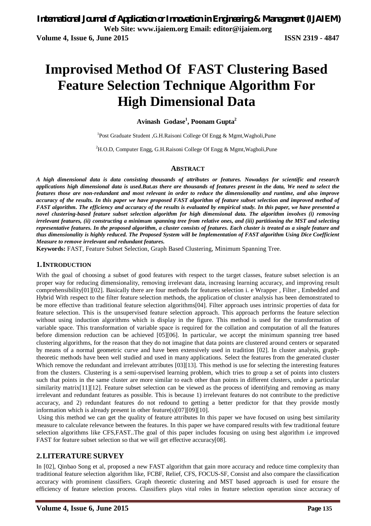# **Improvised Method Of FAST Clustering Based Feature Selection Technique Algorithm For High Dimensional Data**

### **Avinash Godase<sup>1</sup> , Poonam Gupta<sup>2</sup>**

<sup>1</sup>Post Graduate Student , G.H.Raisoni College Of Engg & Mgmt, Wagholi, Pune

<sup>2</sup>H.O.D, Computer Engg, G.H.Raisoni College Of Engg & Mgmt, Wagholi, Pune

#### **ABSTRACT**

*A high dimensional data is data consisting thousands of attributes or features. Nowadays for scientific and research applications high dimensional data is used.But.as there are thousands of features present in the data, We need to select the features those are non-redundant and most relevant in order to reduce the dimensionality and runtime, and also improve accuracy of the results. In this paper we have proposed FAST algorithm of feature subset selection and improved method of FAST algorithm. The efficiency and accuracy of the results is evaluated by empirical study. In this paper, we have presented a novel clustering-based feature subset selection algorithm for high dimensional data. The algorithm involves (i) removing irrelevant features, (ii) constructing a minimum spanning tree from relative ones, and (iii) partitioning the MST and selecting representative features. In the proposed algorithm, a cluster consists of features. Each cluster is treated as a single feature and thus dimensionality is highly reduced. The Proposed System will be Implementation of FAST algorithm Using Dice Coefficient Measure to remove irrelevant and redundant features.*

**Keywords:** FAST, Feature Subset Selection, Graph Based Clustering, Minimum Spanning Tree.

#### **1.INTRODUCTION**

With the goal of choosing a subset of good features with respect to the target classes, feature subset selection is an proper way for reducing dimensionality, removing irrelevant data, increasing learning accuracy, and improving result comprehensibility[01][02]. Basically there are four methods for features selection i. e Wrapper , Filter , Embedded and Hybrid With respect to the filter feature selection methods, the application of cluster analysis has been demonstrated to be more effective than traditional feature selection algorithms[04]. Filter approach uses intrinsic properties of data for feature selection. This is the unsupervised feature selection approach. This approach performs the feature selection without using induction algorithms which is display in the figure. This method is used for the transformation of variable space. This transformation of variable space is required for the collation and computation of all the features before dimension reduction can be achieved [05][06]. In particular, we accept the minimum spanning tree based clustering algorithms, for the reason that they do not imagine that data points are clustered around centers or separated by means of a normal geometric curve and have been extensively used in tradition [02]. In cluster analysis, graphtheoretic methods have been well studied and used in many applications. Select the features from the generated cluster Which remove the redundant and irrelevant attributes [03][13]. This method is use for selecting the interesting features from the clusters. Clustering is a semi-supervised learning problem, which tries to group a set of points into clusters such that points in the same cluster are more similar to each other than points in different clusters, under a particular similarity matrix<sup>[11]</sup>[12]. Feature subset selection can be viewed as the process of identifying and removing as many irrelevant and redundant features as possible. This is because 1) irrelevant features do not contribute to the predictive accuracy, and 2) redundant features do not redound to getting a better predictor for that they provide mostly information which is already present in other feature(s)[07][09][10].

Using this method we can get the quality of feature attributes In this paper we have focused on using best similarity measure to calculate relevance between the features. In this paper we have compared results with few traditional feature selection algorithms like CFS,FAST..The goal of this paper includes focusing on using best algorithm i.e improved FAST for feature subset selection so that we will get effective accuracy[08].

### **2.LITERATURE SURVEY**

In [02], Qinbao Song et al, proposed a new FAST algorithm that gain more accuracy and reduce time complexity than traditional feature selection algorithm like, FCBF, Relief, CFS, FOCUS-SF, Consist and also compare the classification accuracy with prominent classifiers. Graph theoretic clustering and MST based approach is used for ensure the efficiency of feature selection process. Classifiers plays vital roles in feature selection operation since accuracy of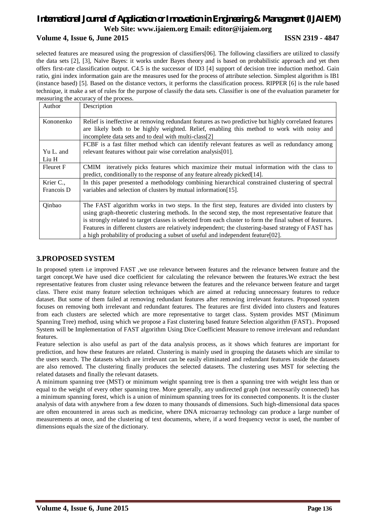### **Volume 4, Issue 6, June 2015 ISSN 2319 - 4847**

selected features are measured using the progression of classifiers[06]. The following classifiers are utilized to classify the data sets [2], [3], Naïve Bayes: it works under Bayes theory and is based on probabilistic approach and yet then offers first-rate classification output. C4.5 is the successor of ID3 [4] support of decision tree induction method. Gain ratio, gini index information gain are the measures used for the process of attribute selection. Simplest algorithm is IB1 (instance based) [5]. Based on the distance vectors, it performs the classification process. RIPPER [6] is the rule based technique, it make a set of rules for the purpose of classify the data sets. Classifier is one of the evaluation parameter for measuring the accuracy of the process.

| Author                  | Description                                                                                                                                                                                                                                                                                                                                                                                                                                                                                                   |  |  |  |  |
|-------------------------|---------------------------------------------------------------------------------------------------------------------------------------------------------------------------------------------------------------------------------------------------------------------------------------------------------------------------------------------------------------------------------------------------------------------------------------------------------------------------------------------------------------|--|--|--|--|
| Kononenko               | Relief is ineffective at removing redundant features as two predictive but highly correlated features<br>are likely both to be highly weighted. Relief, enabling this method to work with noisy and<br>incomplete data sets and to deal with multi-class[2]                                                                                                                                                                                                                                                   |  |  |  |  |
|                         | FCBF is a fast filter method which can identify relevant features as well as redundancy among                                                                                                                                                                                                                                                                                                                                                                                                                 |  |  |  |  |
| Yu L. and<br>Liu H      | relevant features without pair wise correlation analysis[01].                                                                                                                                                                                                                                                                                                                                                                                                                                                 |  |  |  |  |
| Fleuret F               | CMIM iteratively picks features which maximize their mutual information with the class to<br>predict, conditionally to the response of any feature already picked[14].                                                                                                                                                                                                                                                                                                                                        |  |  |  |  |
| Krier C.,<br>Francois D | In this paper presented a methodology combining hierarchical constrained clustering of spectral<br>variables and selection of clusters by mutual information [15].                                                                                                                                                                                                                                                                                                                                            |  |  |  |  |
| Oinbao                  | The FAST algorithm works in two steps. In the first step, features are divided into clusters by<br>using graph-theoretic clustering methods. In the second step, the most representative feature that<br>is strongly related to target classes is selected from each cluster to form the final subset of features.<br>Features in different clusters are relatively independent; the clustering-based strategy of FAST has<br>a high probability of producing a subset of useful and independent feature[02]. |  |  |  |  |

### **3.PROPOSED SYSTEM**

In proposed sytem i.e improved FAST ,we use relevance between features and the relevance between feature and the target concept.We have used dice coefficient for calculating the relevance between the features.We extract the best representative features from cluster using relevance between the features and the relevance between feature and target class. There exist many feature selection techniques which are aimed at reducing unnecessary features to reduce dataset. But some of them failed at removing redundant features after removing irrelevant features. Proposed system focuses on removing both irrelevant and redundant features. The features are first divided into clusters and features from each clusters are selected which are more representative to target class. System provides MST (Minimum Spanning Tree) method, using which we propose a Fast clustering based feature Selection algorithm (FAST).. Proposed System will be Implementation of FAST algorithm Using Dice Coefficient Measure to remove irrelevant and redundant features.

Feature selection is also useful as part of the data analysis process, as it shows which features are important for prediction, and how these features are related. Clustering is mainly used in grouping the datasets which are similar to the users search. The datasets which are irrelevant can be easily eliminated and redundant features inside the datasets are also removed. The clustering finally produces the selected datasets. The clustering uses MST for selecting the related datasets and finally the relevant datasets.

A minimum spanning tree (MST) or minimum weight spanning tree is then a spanning tree with weight less than or equal to the weight of every other spanning tree. More generally, any undirected graph (not necessarily connected) has a minimum spanning forest, which is a union of minimum spanning trees for its connected components. It is the cluster analysis of data with anywhere from a few dozen to many thousands of dimensions. Such high-dimensional data spaces are often encountered in areas such as medicine, where DNA microarray technology can produce a large number of measurements at once, and the clustering of text documents, where, if a word frequency vector is used, the number of dimensions equals the size of the dictionary.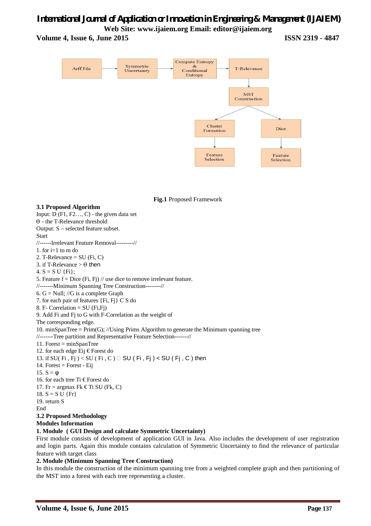**Volume 4, Issue 6, June 2015 ISSN 2319 - 4847**



**Fig.1** Proposed Framework

**3.1 Proposed Algorithm** Input: D (F1, F2…, C) - the given data set ϴ - the T-Relevance threshold Output: S – selected feature subset. **Start** //------Irrelevant Feature Removal---------// 1. for  $i=1$  to m do 2. T-Relevance  $= SU(Fi, C)$ 3. if T-Relevance  $> \theta$  then 4.  $S = S U \{Fi\}$ : 5. Feature  $f = Dice$  (Fi, Fj) // use dice to remove irrelevant feature. //-------Minimum Spanning Tree Construction--------// 6.  $G = Null$ ; // $G$  is a complete Graph 7. for each pair of features {Fi, Fj} C S do 8. F- Correlation =  $SU(Fi,Fj)$ 9. Add Fi and Fj to G with F-Correlation as the weight of The corresponding edge. 10. minSpanTree =  $Prim(G)$ ; //Using Prims Algorithm to generate the Minimum spanning tree //-------Tree partition and Representative Feature Selection-------// 11. Forest = minSpanTree 12. for each edge Eij € Forest do 13. if  $SU(Fi, Fj) < SU(Fi, C) \square$  SU (Fi, Fj) < SU (Fj, C) then 14. Forest = Forest - Eij 15.  $S = φ$ 16. for each tree Ti € Forest do 17. Fr = argmax Fk  $\in$ Ti SU (Fk, C) 18.  $S = S U \{Fr\}$ 19. return S End **3.2 Proposed Methodology Modules Information 1. Module ( GUI Design and calculate Symmetric Uncertainty)** 

First module consists of development of application GUI in Java. Also includes the development of user registration and login parts. Again this module contains calculation of Symmetric Uncertainty to find the relevance of particular feature with target class

#### **2. Module (Minimum Spanning Tree Construction)**

In this module the construction of the minimum spanning tree from a weighted complete graph and then partitioning of the MST into a forest with each tree representing a cluster.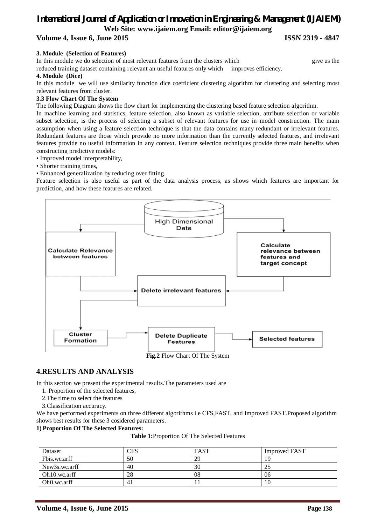# **Volume 4, Issue 6, June 2015 ISSN 2319 - 4847**

#### **3. Module (Selection of Features)**

In this module we do selection of most relevant features from the clusters which give us the

reduced training dataset containing relevant an useful features only which improves efficiency.

#### **4. Module (Dice)**

In this module we will use similarity function dice coefficient clustering algorithm for clustering and selecting most relevant features from cluster.

#### **3.3 Flow Chart Of The System**

The following Diagram shows the flow chart for implementing the clustering based feature selection algorithm.

In machine learning and statistics, feature selection, also known as variable selection, attribute selection or variable subset selection, is the process of selecting a subset of relevant features for use in model construction. The main assumption when using a feature selection technique is that the data contains many redundant or irrelevant features. Redundant features are those which provide no more information than the currently selected features, and irrelevant features provide no useful information in any context. Feature selection techniques provide three main benefits when constructing predictive models:

• Improved model interpretability,

• Shorter training times,

• Enhanced generalization by reducing over fitting.

Feature selection is also useful as part of the data analysis process, as shows which features are important for prediction, and how these features are related.



## **4.RESULTS AND ANALYSIS**

In this section we present the experimental results.The parameters used are

- 1. Proportion of the selected features,
- 2.The time to select the features
- 3.Classification accuracy.

We have performed experiments on three different algorithms i.e CFS,FAST, and Improved FAST.Proposed algorithm shows best results for these 3 cosidered parameters.

#### **1) Proportion Of The Selected Features:**

**Table 1:**Proportion Of The Selected Features

| Dataset                   | CFS | <b>FAST</b> | <b>Improved FAST</b> |
|---------------------------|-----|-------------|----------------------|
| Fbis.wc.arff              | 50  | 29          | 19                   |
| New3s.wc.arff             | 40  | 30          | 25                   |
| Oh 10. wc. arff           | 28  | 08          | 06                   |
| Oh <sub>0</sub> , wc.arff | 41  |             | 10                   |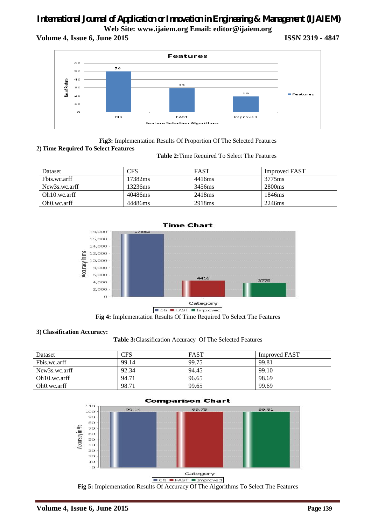**Volume 4, Issue 6, June 2015 ISSN 2319 - 4847**



**Fig3:** Implementation Results Of Proportion Of The Selected Features **2) Time Required To Select Features**

 **Table 2:**Time Required To Select The Features

| Dataset                    | CFS     | <b>FAST</b>        | <b>Improved FAST</b> |
|----------------------------|---------|--------------------|----------------------|
| Fbis.wc.arff               | 17382ms | 4416ms             | 3775ms               |
| New3s.wc.arff              | 13236ms | 3456ms             | 2800 <sub>ms</sub>   |
| Oh10.wc.arff               | 40486ms | 2418 <sub>ms</sub> | 1846 <sub>ms</sub>   |
| Oh <sub>0</sub> , wc. arff | 44486ms | 2918 <sub>ms</sub> | 2246ms               |



**Fig 4:** Implementation Results Of Time Required To Select The Features

#### **3) Classification Accuracy:**

#### **Table 3:**Classification Accuracy Of The Selected Features

| Dataset         | <b>CFS</b> | <b>FAST</b> | <b>Improved FAST</b> |
|-----------------|------------|-------------|----------------------|
| Fbis.wc.arff    | 99.14      | 99.75       | 99.81                |
| New3s.wc.arff   | 92.34      | 94.45       | 99.10                |
| Oh 10. wc. arff | 94.71      | 96.65       | 98.69                |
| Oh0.wc.arff     | 98.71      | 99.65       | 99.69                |



#### **Comparison Chart**